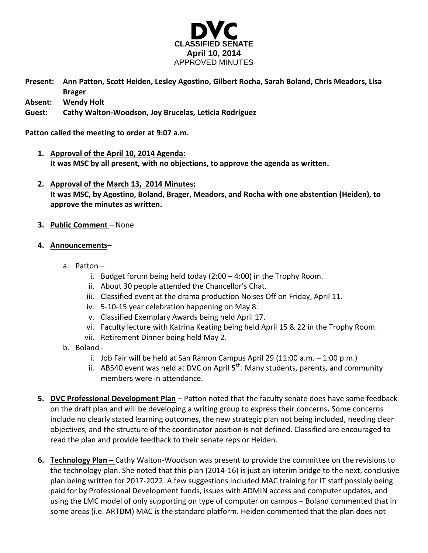

|         | Present: Ann Patton, Scott Heiden, Lesley Agostino, Gilbert Rocha, Sarah Boland, Chris Meadors, Lisa |
|---------|------------------------------------------------------------------------------------------------------|
|         | <b>Brager</b>                                                                                        |
| Abcont. | <b>Mondy Unit</b>                                                                                    |

**Absent: Wendy Holt**

**Guest: Cathy Walton-Woodson, Joy Brucelas, Leticia Rodriguez**

**Patton called the meeting to order at 9:07 a.m.**

- **1. Approval of the April 10, 2014 Agenda: It was MSC by all present, with no objections, to approve the agenda as written.**
- **2. Approval of the March 13, 2014 Minutes: It was MSC, by Agostino, Boland, Brager, Meadors, and Rocha with one abstention (Heiden), to approve the minutes as written.**
- **3. Public Comment** None
- **4. Announcements**
	- a. Patton
		- i. Budget forum being held today (2:00 4:00) in the Trophy Room.
		- ii. About 30 people attended the Chancellor's Chat.
		- iii. Classified event at the drama production Noises Off on Friday, April 11.
		- iv. 5-10-15 year celebration happening on May 8.
		- v. Classified Exemplary Awards being held April 17.
		- vi. Faculty lecture with Katrina Keating being held April 15 & 22 in the Trophy Room.
		- vii. Retirement Dinner being held May 2.
	- b. Boland
		- i. Job Fair will be held at San Ramon Campus April 29  $(11:00 a.m. 1:00 p.m.)$
		- ii. AB540 event was held at DVC on April  $5<sup>th</sup>$ . Many students, parents, and community members were in attendance.
- **5. DVC Professional Development Plan** Patton noted that the faculty senate does have some feedback on the draft plan and will be developing a writing group to express their concerns**.** Some concerns include no clearly stated learning outcomes, the new strategic plan not being included, needing clear objectives, and the structure of the coordinator position is not defined. Classified are encouraged to read the plan and provide feedback to their senate reps or Heiden.
- **6. Technology Plan –** Cathy Walton-Woodson was present to provide the committee on the revisions to the technology plan. She noted that this plan (2014-16) is just an interim bridge to the next, conclusive plan being written for 2017-2022. A few suggestions included MAC training for IT staff possibly being paid for by Professional Development funds, issues with ADMIN access and computer updates, and using the LMC model of only supporting on type of computer on campus – Boland commented that in some areas (i.e. ARTDM) MAC is the standard platform. Heiden commented that the plan does not